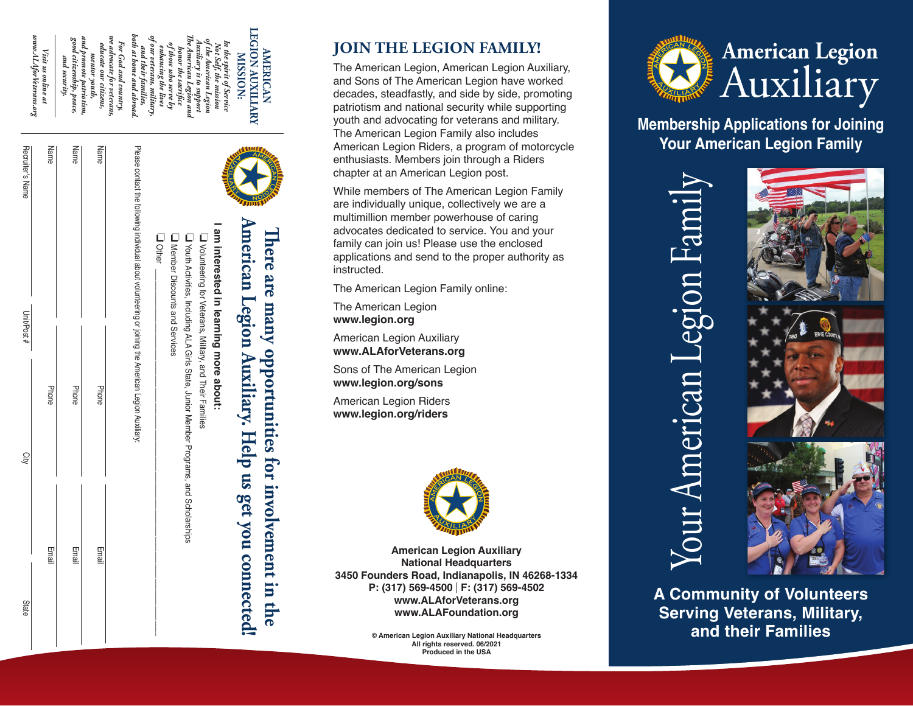

## **JOIN THE LEGION FAMILY!**

The American Legion, American Legion Auxiliary, and Sons of The American Legion have worked decades, steadfastly, and side by side, promoting patriotism and national security while supporting youth and advocating for veterans and military. The American Legion Family also includes American Legion Riders, a program of motorcycle enthusiasts. Members join through a Riders chapter at an American Legion post.

While members of The American Legion Family are individually unique, collectively we are a multimillion member powerhouse of caring advocates dedicated to service. You and your family can join us! Please use the enclosed applications and send to the proper authority as instructed.

The American Legion Family online:

The American Legion **www.legion.org**

American Legion Auxiliary **www.ALAforVeterans.org**

Sons of The American Legion **www.legion.org/sons**

American Legion Riders **www.legion.org/riders**

**There are many opportunities for involvement in the** 

opportunities for involvement in the

There are many

**AMERICAN** 

**AMERICAN** 



**American Legion Auxiliary National Headquarters 3450 Founders Road, Indianapolis, IN 46268-1334 P: (317) 569-4500** | **F: (317) 569-4502 www.ALAforVeterans.org www.ALAFoundation.org**

> **© American Legion Auxiliary National Headquarters All rights reserved. 06/2021 Produced in the USA**



**Membership Applications for Joining Your American Legion Family** 



**A Community of Volunteers Serving Veterans, Military, and their Families**